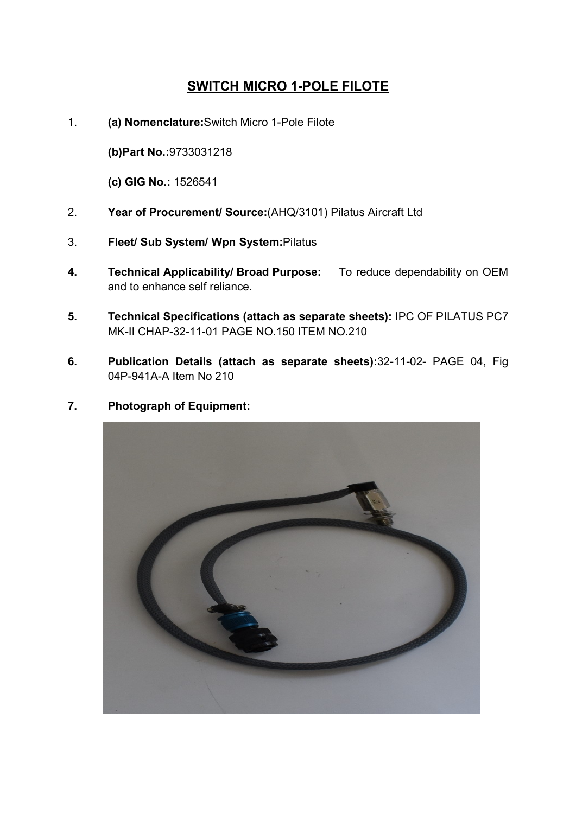## SWITCH MICRO 1-POLE FILOTE

1. (a) Nomenclature:Switch Micro 1-Pole Filote

(b)Part No.:9733031218

(c) GIG No.: 1526541

- 2. Year of Procurement/ Source:(AHQ/3101) Pilatus Aircraft Ltd
- 3. Fleet/ Sub System/ Wpn System:Pilatus
- 4. Technical Applicability/ Broad Purpose: To reduce dependability on OEM and to enhance self reliance.
- 5. Technical Specifications (attach as separate sheets): IPC OF PILATUS PC7 MK-II CHAP-32-11-01 PAGE NO.150 ITEM NO.210
- 6. Publication Details (attach as separate sheets):32-11-02- PAGE 04, Fig 04P-941A-A Item No 210
- 7. Photograph of Equipment: